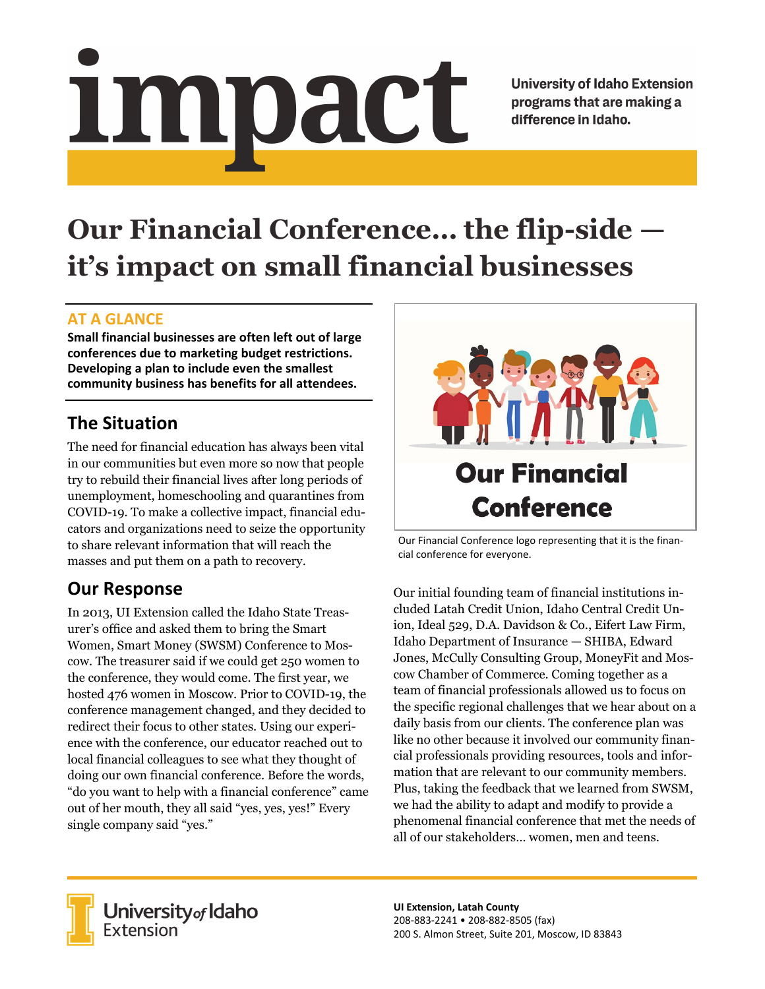# <u>impact</u>

**University of Idaho Extension** programs that are making a difference in Idaho.

# **Our Financial Conference… the flip-side it's impact on small financial businesses**

### **AT A GLANCE**

**Small financial businesses are often left out of large conferences due to marketing budget restrictions. Developing a plan to include even the smallest community business has benefits for all attendees.**

# **The Situation**

The need for financial education has always been vital in our communities but even more so now that people try to rebuild their financial lives after long periods of unemployment, homeschooling and quarantines from COVID-19. To make a collective impact, financial educators and organizations need to seize the opportunity to share relevant information that will reach the masses and put them on a path to recovery.

# **Our Response**

In 2013, UI Extension called the Idaho State Treasurer's office and asked them to bring the Smart Women, Smart Money (SWSM) Conference to Moscow. The treasurer said if we could get 250 women to the conference, they would come. The first year, we hosted 476 women in Moscow. Prior to COVID-19, the conference management changed, and they decided to redirect their focus to other states. Using our experience with the conference, our educator reached out to local financial colleagues to see what they thought of doing our own financial conference. Before the words, "do you want to help with a financial conference" came out of her mouth, they all said "yes, yes, yes!" Every single company said "yes."



Our Financial Conference logo representing that it is the finan‐ cial conference for everyone.

Our initial founding team of financial institutions included Latah Credit Union, Idaho Central Credit Union, Ideal 529, D.A. Davidson & Co., Eifert Law Firm, Idaho Department of Insurance — SHIBA, Edward Jones, McCully Consulting Group, MoneyFit and Moscow Chamber of Commerce. Coming together as a team of financial professionals allowed us to focus on the specific regional challenges that we hear about on a daily basis from our clients. The conference plan was like no other because it involved our community financial professionals providing resources, tools and information that are relevant to our community members. Plus, taking the feedback that we learned from SWSM, we had the ability to adapt and modify to provide a phenomenal financial conference that met the needs of all of our stakeholders… women, men and teens.



University<sub>of</sub> Idaho Extension

**UI Extension, Latah County** 208‐883‐2241 • 208‐882‐8505 (fax) 200 S. Almon Street, Suite 201, Moscow, ID 83843